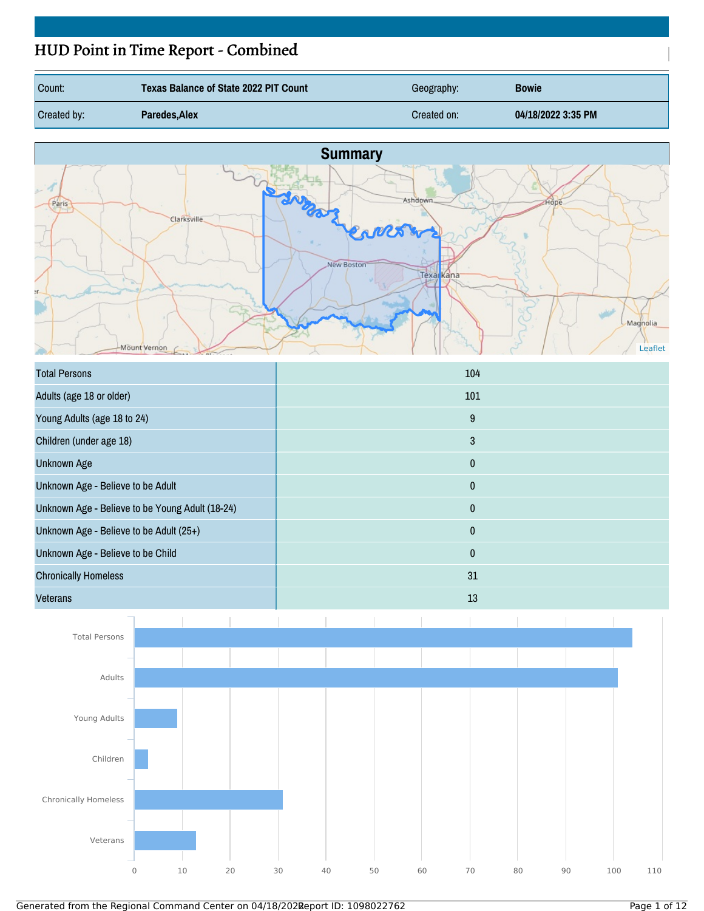# HUD Point in Time Report - Combined

| Count:             | Texas Balance of State 2022 PIT Count | Geography:  | <b>Bowie</b>       |
|--------------------|---------------------------------------|-------------|--------------------|
| <b>Created by:</b> | Paredes, Alex                         | Created on: | 04/18/2022 3:35 PM |



| <b>Total Persons</b>                            | 104          |
|-------------------------------------------------|--------------|
| Adults (age 18 or older)                        | 101          |
| Young Adults (age 18 to 24)                     | 9            |
| Children (under age 18)                         | 3            |
| <b>Unknown Age</b>                              | 0            |
| Unknown Age - Believe to be Adult               | 0            |
| Unknown Age - Believe to be Young Adult (18-24) | $\bf{0}$     |
| Unknown Age - Believe to be Adult (25+)         | $\mathbf{0}$ |
| Unknown Age - Believe to be Child               | 0            |
| <b>Chronically Homeless</b>                     | 31           |
| <b>Veterans</b>                                 | 13           |

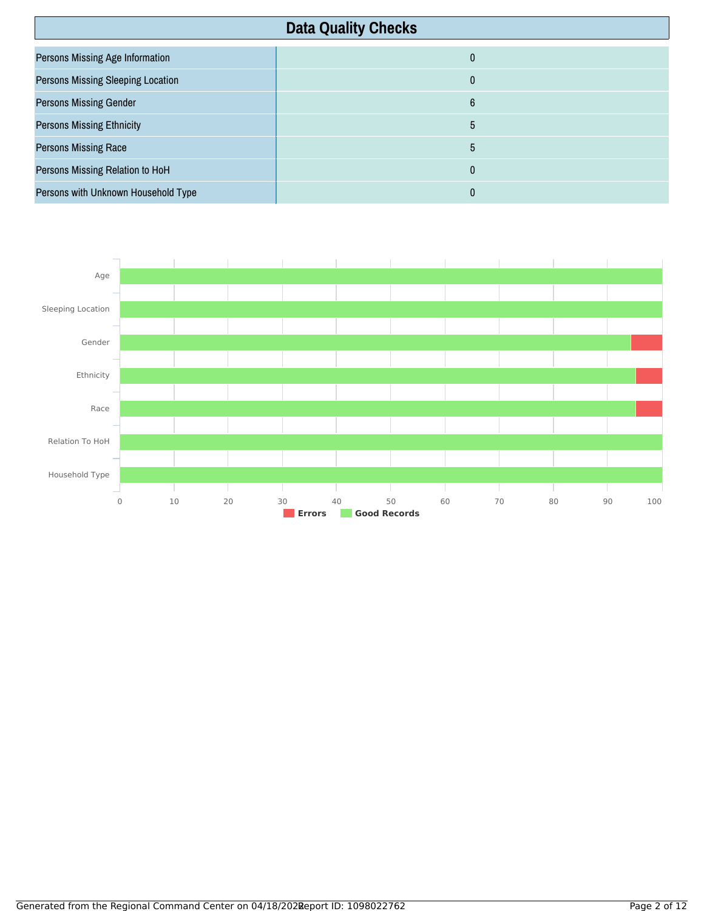| <b>Data Quality Checks</b>               |              |
|------------------------------------------|--------------|
| Persons Missing Age Information          | $\mathbf{0}$ |
| <b>Persons Missing Sleeping Location</b> | $\mathbf{0}$ |
| <b>Persons Missing Gender</b>            | 6            |
| <b>Persons Missing Ethnicity</b>         | 5            |
| <b>Persons Missing Race</b>              | 5            |
| Persons Missing Relation to HoH          | $\mathbf{0}$ |
| Persons with Unknown Household Type      | 0            |

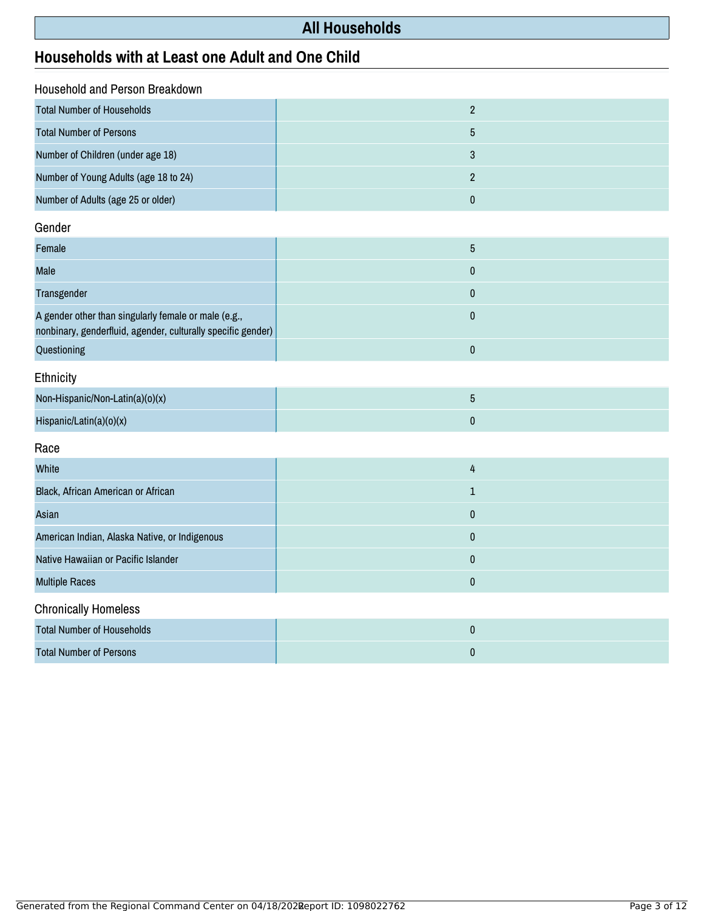# **All Households**

# **Households with at Least one Adult and One Child**

| Household and Person Breakdown                                                                                       |                |
|----------------------------------------------------------------------------------------------------------------------|----------------|
| <b>Total Number of Households</b>                                                                                    | $\sqrt{2}$     |
| <b>Total Number of Persons</b>                                                                                       | $\overline{5}$ |
| Number of Children (under age 18)                                                                                    | 3              |
| Number of Young Adults (age 18 to 24)                                                                                | $\overline{2}$ |
| Number of Adults (age 25 or older)                                                                                   | $\pmb{0}$      |
|                                                                                                                      |                |
| Gender                                                                                                               |                |
| Female                                                                                                               | $\overline{5}$ |
| Male                                                                                                                 | $\mathbf 0$    |
| Transgender                                                                                                          | $\mathbf 0$    |
| A gender other than singularly female or male (e.g.,<br>nonbinary, genderfluid, agender, culturally specific gender) | $\mathbf{0}$   |
| Questioning                                                                                                          | $\pmb{0}$      |
| Ethnicity                                                                                                            |                |
| Non-Hispanic/Non-Latin(a)(o)(x)                                                                                      | $\overline{5}$ |
| Hispanic/Latin(a)(o)(x)                                                                                              | $\mathbf 0$    |
| Race                                                                                                                 |                |
| White                                                                                                                | 4              |
| Black, African American or African                                                                                   | $\mathbf 1$    |
| Asian                                                                                                                | $\pmb{0}$      |
| American Indian, Alaska Native, or Indigenous                                                                        | $\pmb{0}$      |
| Native Hawaiian or Pacific Islander                                                                                  | $\pmb{0}$      |
| <b>Multiple Races</b>                                                                                                | $\pmb{0}$      |
| <b>Chronically Homeless</b>                                                                                          |                |
| <b>Total Number of Households</b>                                                                                    | $\pmb{0}$      |
| <b>Total Number of Persons</b>                                                                                       | $\pmb{0}$      |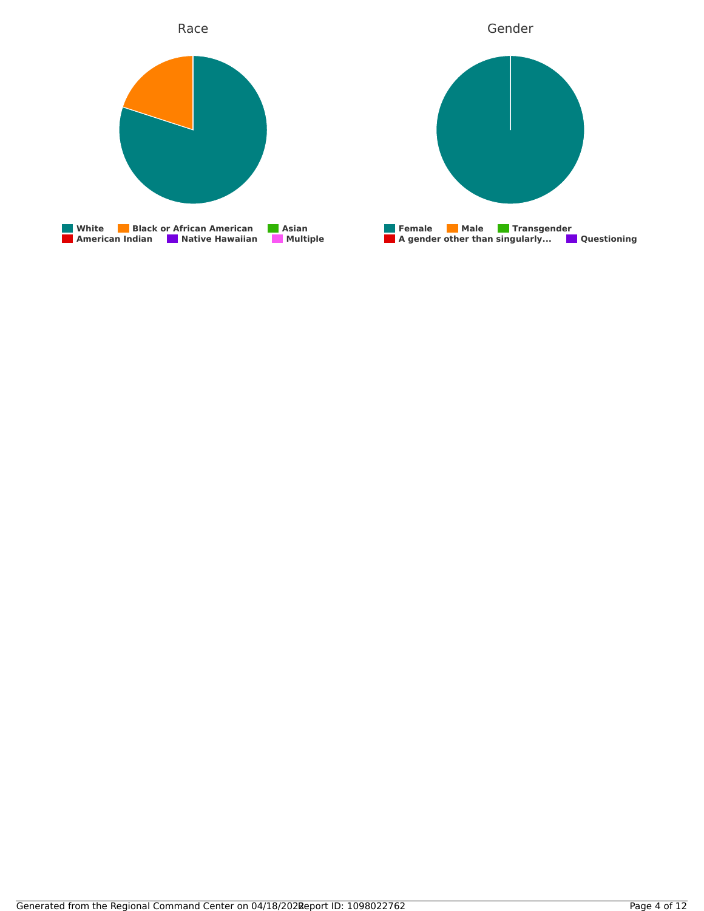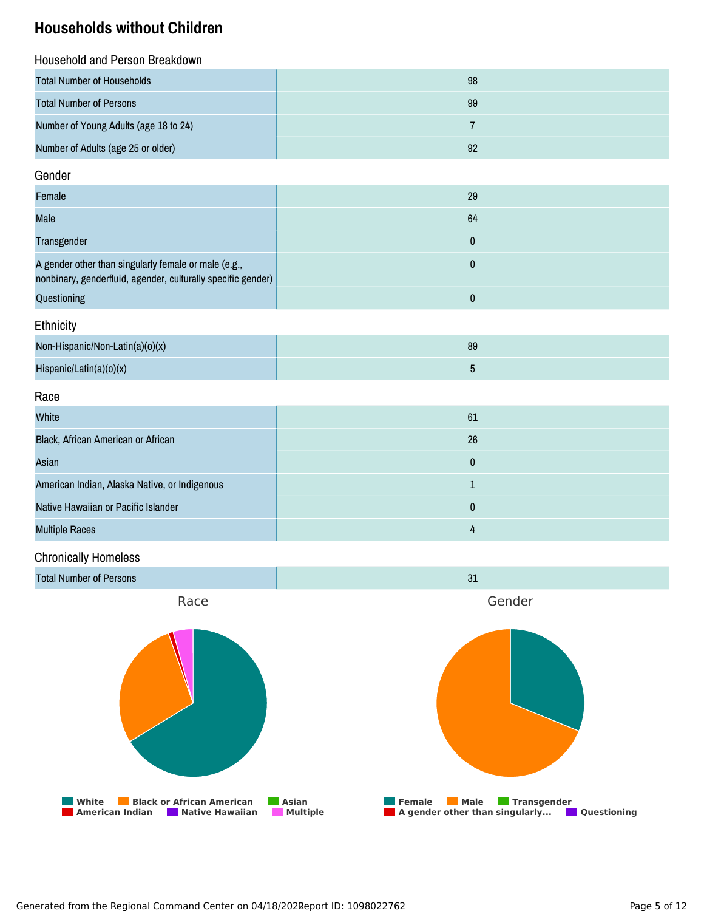## **Households without Children**

| Household and Person Breakdown        |    |
|---------------------------------------|----|
| Total Number of Households            | 98 |
| <b>Total Number of Persons</b>        | 99 |
| Number of Young Adults (age 18 to 24) |    |
| Number of Adults (age 25 or older)    | 92 |

#### Gender

| Female                                                                                                               | 29 |
|----------------------------------------------------------------------------------------------------------------------|----|
| <b>Male</b>                                                                                                          | 64 |
| Transgender                                                                                                          |    |
| A gender other than singularly female or male (e.g.,<br>nonbinary, genderfluid, agender, culturally specific gender) |    |
| Questioning                                                                                                          |    |

## **Ethnicity**

| Non-Hispanic/Non-Latin(a)(o)(x) | 89 |
|---------------------------------|----|
| Hispanic/Latin(a)(o)(x)         |    |

### Race

| White                                         | 61 |
|-----------------------------------------------|----|
| Black, African American or African            | 26 |
| Asian                                         | 0  |
| American Indian, Alaska Native, or Indigenous |    |
| Native Hawaiian or Pacific Islander           | 0  |
| <b>Multiple Races</b>                         | 4  |

## Chronically Homeless

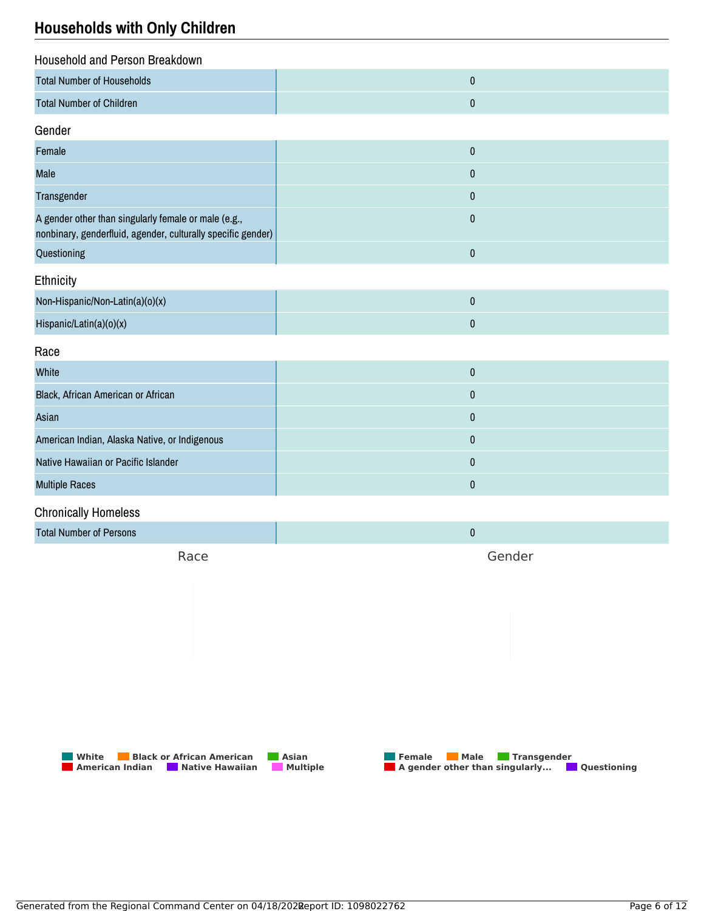## **Households with Only Children**

| Household and Person Breakdown                                                                                       |           |  |
|----------------------------------------------------------------------------------------------------------------------|-----------|--|
| <b>Total Number of Households</b>                                                                                    | $\pmb{0}$ |  |
| <b>Total Number of Children</b>                                                                                      | $\pmb{0}$ |  |
| Gender                                                                                                               |           |  |
| Female                                                                                                               | $\pmb{0}$ |  |
| Male                                                                                                                 | 0         |  |
| Transgender                                                                                                          | $\pmb{0}$ |  |
| A gender other than singularly female or male (e.g.,<br>nonbinary, genderfluid, agender, culturally specific gender) | $\pmb{0}$ |  |
| Questioning                                                                                                          | $\pmb{0}$ |  |
| Ethnicity                                                                                                            |           |  |
| Non-Hispanic/Non-Latin(a)(o)(x)                                                                                      | $\pmb{0}$ |  |
| Hispanic/Latin(a)(o)(x)                                                                                              | $\pmb{0}$ |  |
| Race                                                                                                                 |           |  |
| White                                                                                                                | $\pmb{0}$ |  |
| Black, African American or African                                                                                   | $\pmb{0}$ |  |
| Asian                                                                                                                | 0         |  |
| American Indian, Alaska Native, or Indigenous                                                                        | 0         |  |
| Native Hawaiian or Pacific Islander                                                                                  | $\pmb{0}$ |  |
| <b>Multiple Races</b>                                                                                                | 0         |  |
| <b>Chronically Homeless</b>                                                                                          |           |  |
| <b>Total Number of Persons</b>                                                                                       | $\pmb{0}$ |  |

Race

Gender



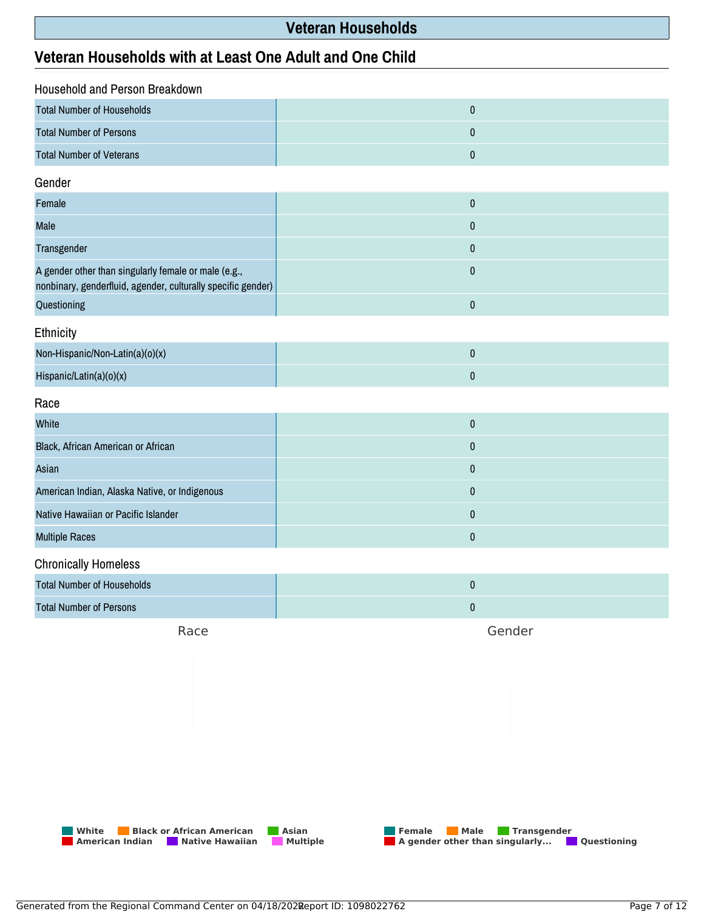## **Veteran Households**

## **Veteran Households with at Least One Adult and One Child**

| Household and Person Breakdown                                                                                       |           |  |
|----------------------------------------------------------------------------------------------------------------------|-----------|--|
| <b>Total Number of Households</b>                                                                                    | $\pmb{0}$ |  |
| <b>Total Number of Persons</b>                                                                                       | $\pmb{0}$ |  |
| <b>Total Number of Veterans</b>                                                                                      | $\pmb{0}$ |  |
| Gender                                                                                                               |           |  |
| Female                                                                                                               | $\pmb{0}$ |  |
| Male                                                                                                                 | $\pmb{0}$ |  |
| Transgender                                                                                                          | $\pmb{0}$ |  |
| A gender other than singularly female or male (e.g.,<br>nonbinary, genderfluid, agender, culturally specific gender) | $\pmb{0}$ |  |
| Questioning                                                                                                          | $\pmb{0}$ |  |
| Ethnicity                                                                                                            |           |  |
| Non-Hispanic/Non-Latin(a)(o)(x)                                                                                      | $\pmb{0}$ |  |
| Hispanic/Latin(a)(o)(x)                                                                                              | $\pmb{0}$ |  |
| Race                                                                                                                 |           |  |
| White                                                                                                                | $\pmb{0}$ |  |
| Black, African American or African                                                                                   | $\pmb{0}$ |  |
| Asian                                                                                                                | $\pmb{0}$ |  |
| American Indian, Alaska Native, or Indigenous                                                                        | $\pmb{0}$ |  |
| Native Hawaiian or Pacific Islander                                                                                  | $\bf{0}$  |  |
| <b>Multiple Races</b>                                                                                                | $\pmb{0}$ |  |
| <b>Chronically Homeless</b>                                                                                          |           |  |
| <b>Total Number of Households</b>                                                                                    | $\pmb{0}$ |  |
| <b>Total Number of Persons</b>                                                                                       | $\pmb{0}$ |  |
|                                                                                                                      |           |  |

Race

Gender



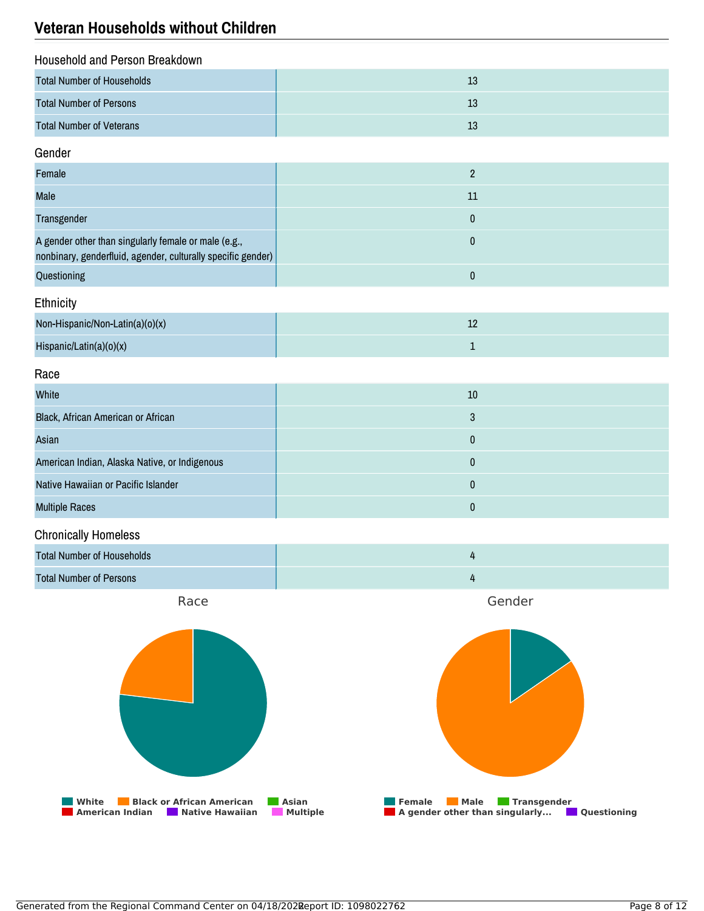## **Veteran Households without Children**

| Household and Person Breakdown    |    |
|-----------------------------------|----|
| <b>Total Number of Households</b> | 13 |
| <b>Total Number of Persons</b>    | 13 |
| <b>Total Number of Veterans</b>   | 13 |

## Gender

| Female                                                                                                               |    |
|----------------------------------------------------------------------------------------------------------------------|----|
| Male                                                                                                                 | 11 |
| Transgender                                                                                                          |    |
| A gender other than singularly female or male (e.g.,<br>nonbinary, genderfluid, agender, culturally specific gender) |    |
| Questioning                                                                                                          |    |

## **Ethnicity**

| Non-Hispanic/Non-Latin(a)(o)(x) | ᅩ |
|---------------------------------|---|
| Hispanic/Latin(a)(o)(x)         |   |

#### Race

| White                                         | 10 |
|-----------------------------------------------|----|
| Black, African American or African            |    |
| Asian                                         |    |
| American Indian, Alaska Native, or Indigenous |    |
| Native Hawaiian or Pacific Islander           |    |
| <b>Multiple Races</b>                         |    |

## Chronically Homeless

| <b>Total Number of Households</b> |  |
|-----------------------------------|--|
| <b>Total Number of Persons</b>    |  |

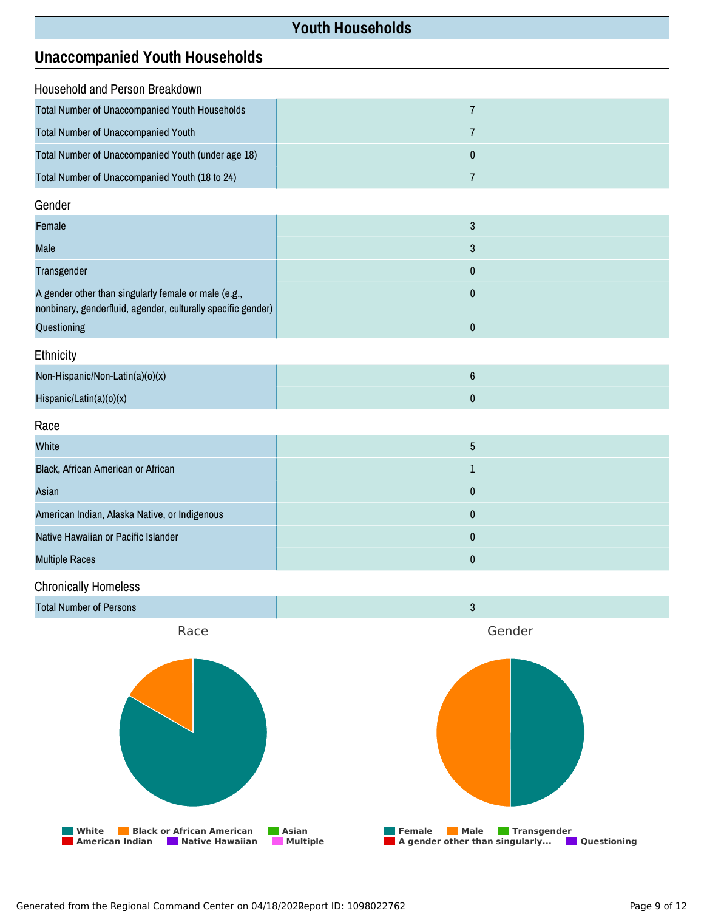## **Youth Households**

## **Unaccompanied Youth Households**

| Household and Person Breakdown                        |  |  |
|-------------------------------------------------------|--|--|
| <b>Total Number of Unaccompanied Youth Households</b> |  |  |
| <b>Total Number of Unaccompanied Youth</b>            |  |  |
| Total Number of Unaccompanied Youth (under age 18)    |  |  |
| Total Number of Unaccompanied Youth (18 to 24)        |  |  |

#### Gender

| Female                                                                                                               |  |
|----------------------------------------------------------------------------------------------------------------------|--|
| <b>Male</b>                                                                                                          |  |
| Transgender                                                                                                          |  |
| A gender other than singularly female or male (e.g.,<br>nonbinary, genderfluid, agender, culturally specific gender) |  |
| Questioning                                                                                                          |  |

## **Ethnicity**

| Non-Hispanic/Non-Latin(a)(o)(x) |  |
|---------------------------------|--|
| Hispanic/Latin(a)( $o(x)$       |  |

#### Race

| White                                         | ა |
|-----------------------------------------------|---|
| Black, African American or African            |   |
| Asian                                         |   |
| American Indian, Alaska Native, or Indigenous |   |
| Native Hawaiian or Pacific Islander           | 0 |
| <b>Multiple Races</b>                         |   |

## Chronically Homeless

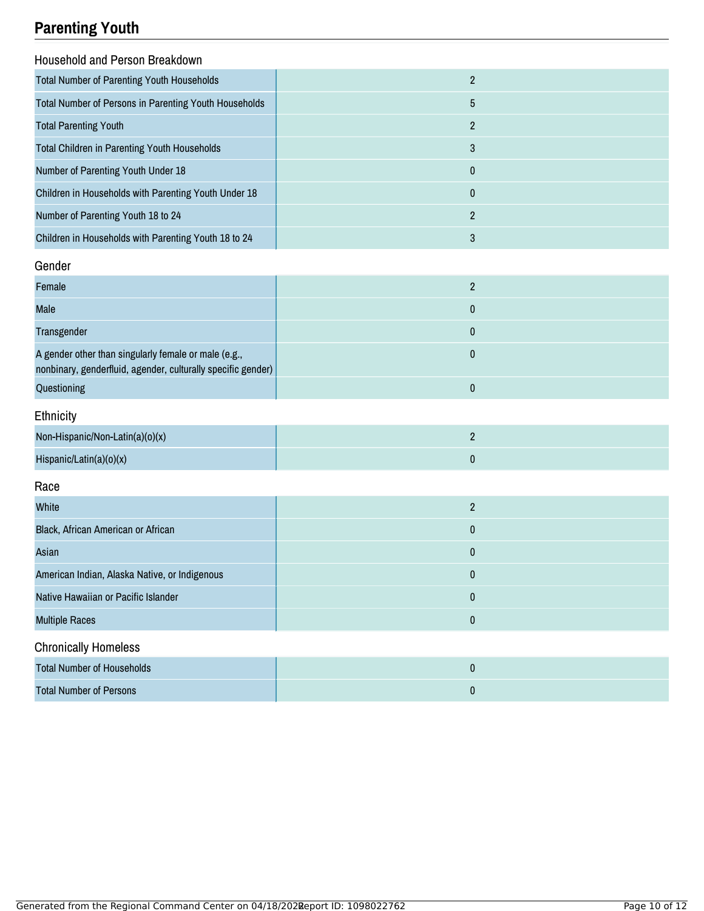# **Parenting Youth**

| <b>Household and Person Breakdown</b>                 |                |
|-------------------------------------------------------|----------------|
| <b>Total Number of Parenting Youth Households</b>     | $\overline{2}$ |
| Total Number of Persons in Parenting Youth Households | 5              |
| <b>Total Parenting Youth</b>                          | $\overline{2}$ |
| <b>Total Children in Parenting Youth Households</b>   | 3              |
| Number of Parenting Youth Under 18                    | 0              |
| Children in Households with Parenting Youth Under 18  | 0              |
| Number of Parenting Youth 18 to 24                    | $\overline{2}$ |
| Children in Households with Parenting Youth 18 to 24  | 3              |

## Gender

| Female                                                                                                               |  |
|----------------------------------------------------------------------------------------------------------------------|--|
| Male                                                                                                                 |  |
| Transgender                                                                                                          |  |
| A gender other than singularly female or male (e.g.,<br>nonbinary, genderfluid, agender, culturally specific gender) |  |
| Questioning                                                                                                          |  |

## Ethnicity

| Non-Hispanic/Non-Latin(a)(o)(x) |  |
|---------------------------------|--|
| Hispanic/Latin(a)( $o$ )(x)     |  |

## Race

| White                                         | ი |
|-----------------------------------------------|---|
| Black, African American or African            | 0 |
| Asian                                         | 0 |
| American Indian, Alaska Native, or Indigenous | 0 |
| Native Hawaiian or Pacific Islander           | 0 |
| <b>Multiple Races</b>                         | 0 |
| <b>Chronically Homeless</b>                   |   |

| Total Number of Households     |  |
|--------------------------------|--|
| <b>Total Number of Persons</b> |  |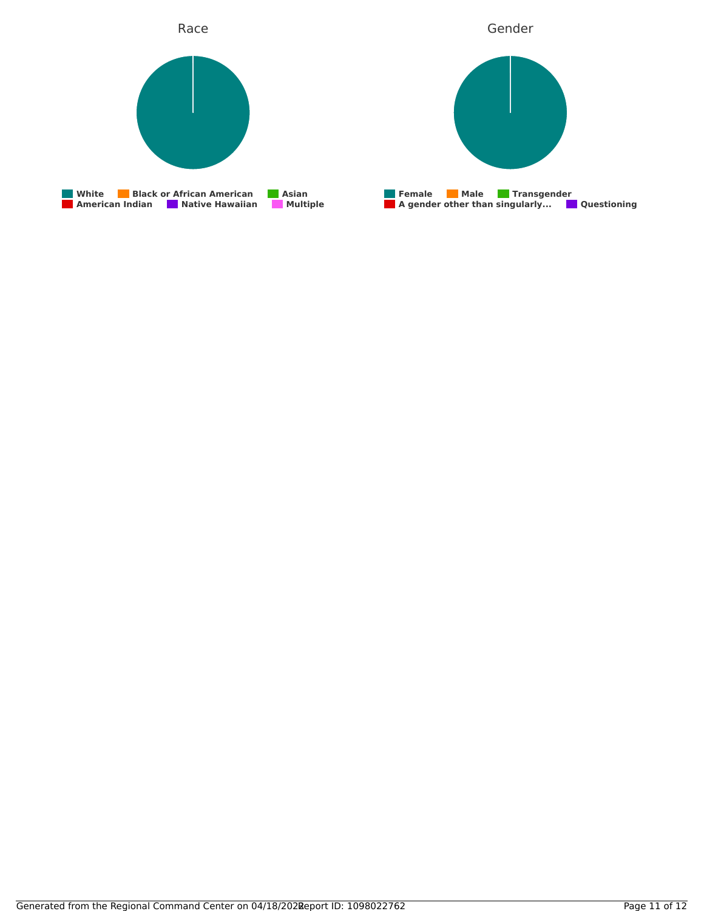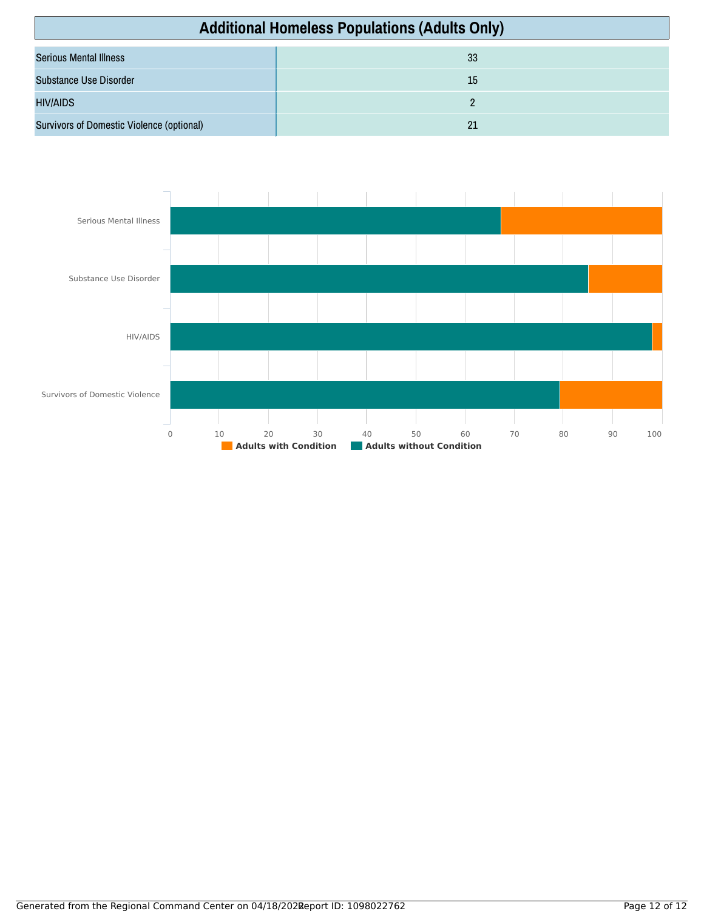| <b>Additional Homeless Populations (Adults Only)</b> |    |
|------------------------------------------------------|----|
| <b>Serious Mental Illness</b>                        | 33 |
| Substance Use Disorder                               | 15 |
| <b>HIV/AIDS</b>                                      |    |
| Survivors of Domestic Violence (optional)            | 21 |

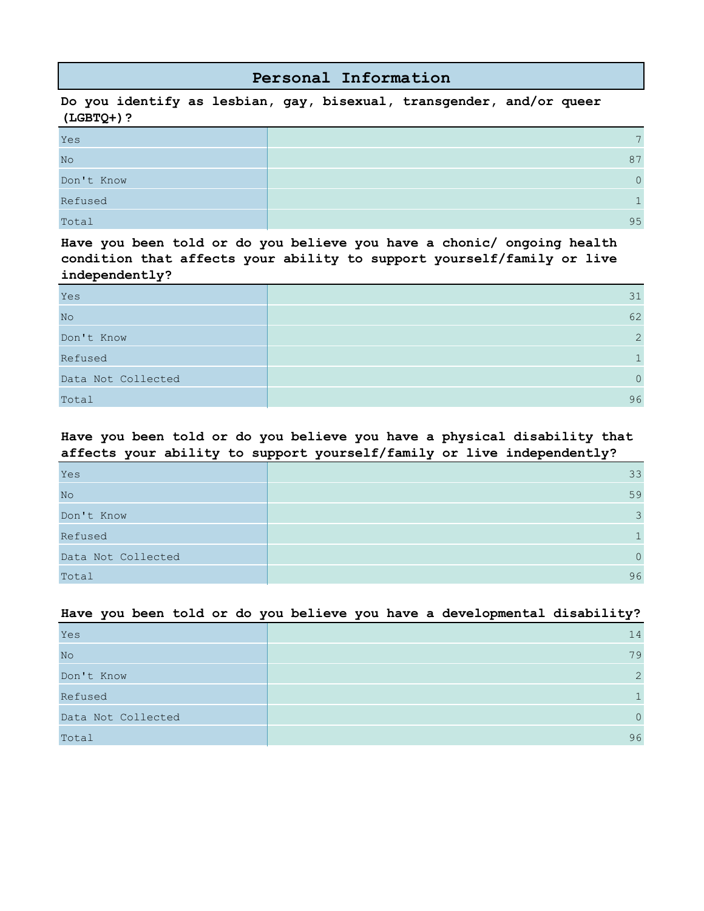## **Personal Information**

**Do you identify as lesbian, gay, bisexual, transgender, and/or queer (LGBTQ+)?**

| Yes            | $\overline{\phantom{0}}$ |
|----------------|--------------------------|
| N <sub>O</sub> | 87                       |
| Don't Know     | $\Omega$                 |
| Refused        | $\mathbf{I}$             |
| Total          | 95                       |

**Have you been told or do you believe you have a chonic/ ongoing health condition that affects your ability to support yourself/family or live independently?**

| Yes                | 31       |
|--------------------|----------|
| No                 | 62       |
| Don't Know         | 2        |
| Refused            |          |
| Data Not Collected | $\Omega$ |
| Total              | 96       |

### **Have you been told or do you believe you have a physical disability that affects your ability to support yourself/family or live independently?**

| Yes                | 33            |
|--------------------|---------------|
| No                 | 59            |
| Don't Know         | $\mathcal{E}$ |
| Refused            |               |
| Data Not Collected | $\Omega$      |
| Total              | 96            |

#### **Have you been told or do you believe you have a developmental disability?**

| Yes                | 14             |
|--------------------|----------------|
| No                 | 79             |
| Don't Know         | $\overline{2}$ |
| Refused            |                |
| Data Not Collected | $\Omega$       |
| Total              | 96             |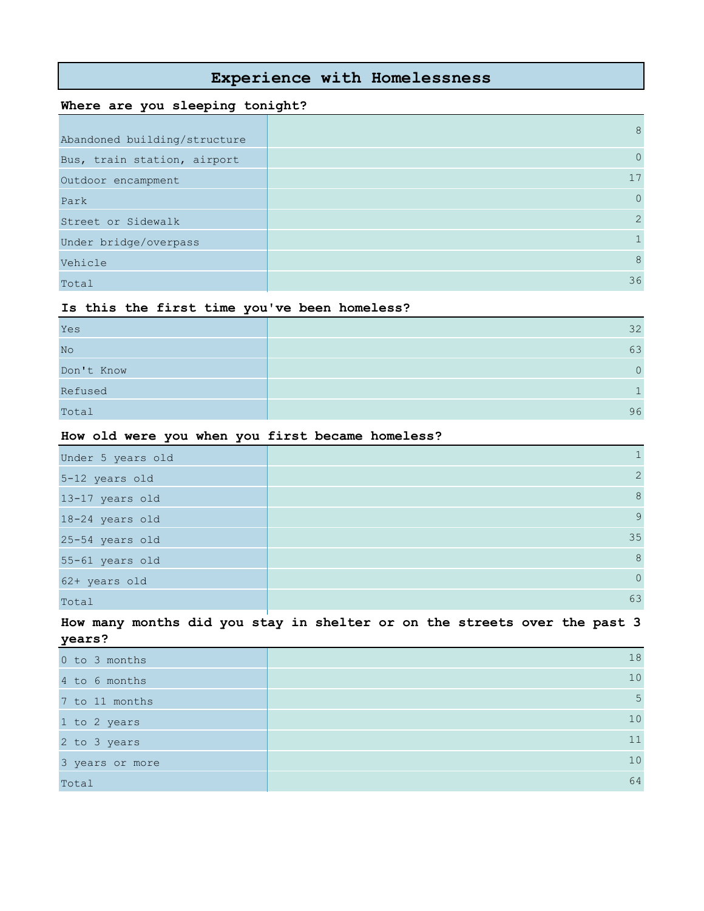## **Experience with Homelessness**

### **Where are you sleeping tonight?**

| Abandoned building/structure | 8              |
|------------------------------|----------------|
| Bus, train station, airport  | $\circ$        |
| Outdoor encampment           | 17             |
| Park                         | $\overline{0}$ |
| Street or Sidewalk           | 2              |
| Under bridge/overpass        |                |
| Vehicle                      | 8              |
| Total                        | 36             |

#### **Is this the first time you've been homeless?**

| Yes        | 32 |
|------------|----|
| No         | 63 |
| Don't Know | ∩. |
| Refused    |    |
| Total      | 96 |

#### **How old were you when you first became homeless?**

| Under 5 years old |                |
|-------------------|----------------|
| 5-12 years old    | 2              |
| 13-17 years old   | 8              |
| 18-24 years old   | $\overline{9}$ |
| 25-54 years old   | 35             |
| 55-61 years old   | 8              |
| 62+ years old     | $\overline{0}$ |
| Total             | 63             |

**How many months did you stay in shelter or on the streets over the past 3 years?**

| 0 to 3 months   | 18 |
|-----------------|----|
| 4 to 6 months   | 10 |
| 7 to 11 months  | 5  |
| 1 to 2 years    | 10 |
| 2 to 3 years    | 11 |
| 3 years or more | 10 |
| Total           | 64 |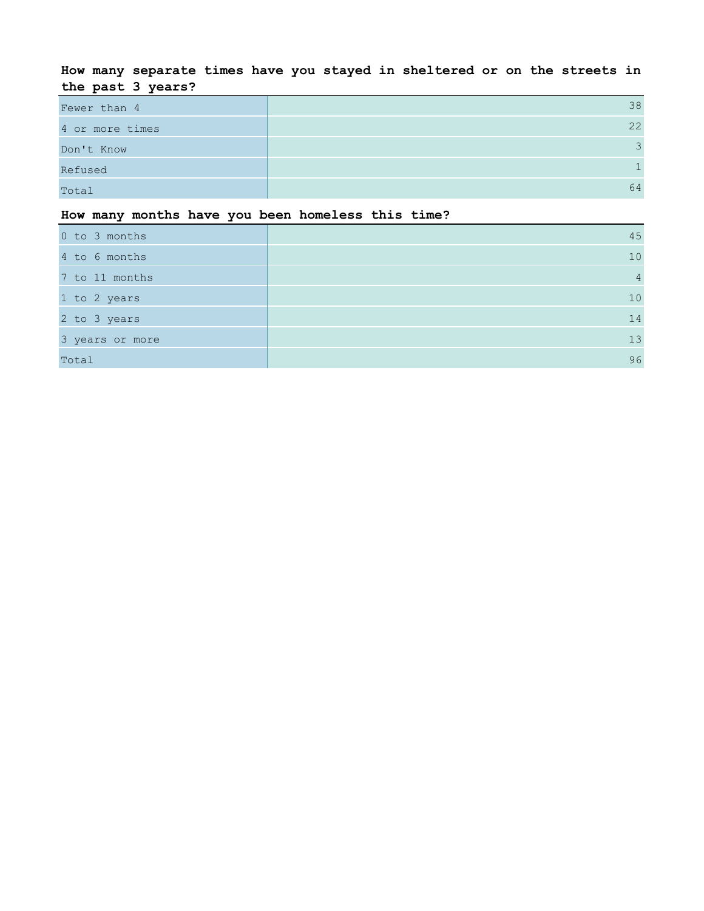## **How many separate times have you stayed in sheltered or on the streets in the past 3 years?**

| Fewer than 4    | 38            |
|-----------------|---------------|
| 4 or more times | 22            |
| Don't Know      | $\mathcal{L}$ |
| Refused         |               |
| Total           | 64            |

## **How many months have you been homeless this time?**

| 0 to 3 months   | 45             |
|-----------------|----------------|
| 4 to 6 months   | 10             |
| 7 to 11 months  | $\overline{4}$ |
| 1 to 2 years    | 10             |
| 2 to 3 years    | 14             |
| 3 years or more | 13             |
| Total           | 96             |